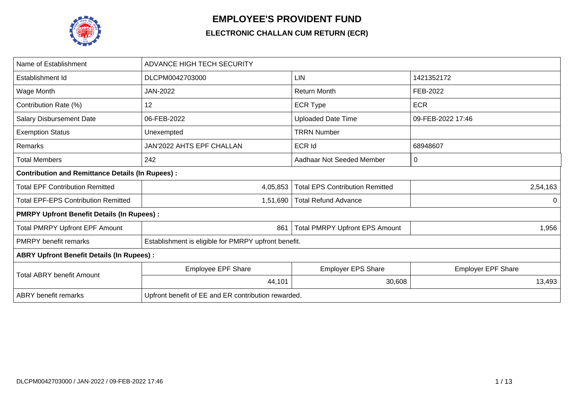

## **EMPLOYEE'S PROVIDENT FUND**

## **ELECTRONIC CHALLAN CUM RETURN (ECR)**

| Name of Establishment                                   | ADVANCE HIGH TECH SECURITY                           |                                        |                           |  |  |  |  |  |  |  |
|---------------------------------------------------------|------------------------------------------------------|----------------------------------------|---------------------------|--|--|--|--|--|--|--|
| Establishment Id                                        | DLCPM0042703000                                      | <b>LIN</b>                             | 1421352172                |  |  |  |  |  |  |  |
| Wage Month                                              | JAN-2022                                             | <b>Return Month</b>                    | FEB-2022                  |  |  |  |  |  |  |  |
| Contribution Rate (%)                                   | 12                                                   | <b>ECR Type</b>                        | <b>ECR</b>                |  |  |  |  |  |  |  |
| <b>Salary Disbursement Date</b>                         | 06-FEB-2022                                          | <b>Uploaded Date Time</b>              | 09-FEB-2022 17:46         |  |  |  |  |  |  |  |
| <b>Exemption Status</b>                                 | Unexempted                                           | TRRN Number                            |                           |  |  |  |  |  |  |  |
| Remarks                                                 | JAN'2022 AHTS EPF CHALLAN                            | <b>ECR Id</b>                          | 68948607                  |  |  |  |  |  |  |  |
| <b>Total Members</b>                                    | 242                                                  | Aadhaar Not Seeded Member              | 0                         |  |  |  |  |  |  |  |
| <b>Contribution and Remittance Details (In Rupees):</b> |                                                      |                                        |                           |  |  |  |  |  |  |  |
| <b>Total EPF Contribution Remitted</b>                  | 4,05,853                                             | <b>Total EPS Contribution Remitted</b> | 2,54,163                  |  |  |  |  |  |  |  |
| <b>Total EPF-EPS Contribution Remitted</b>              | 1,51,690                                             | <b>Total Refund Advance</b>            | $\Omega$                  |  |  |  |  |  |  |  |
| <b>PMRPY Upfront Benefit Details (In Rupees):</b>       |                                                      |                                        |                           |  |  |  |  |  |  |  |
| <b>Total PMRPY Upfront EPF Amount</b>                   | 861                                                  | <b>Total PMRPY Upfront EPS Amount</b>  | 1,956                     |  |  |  |  |  |  |  |
| <b>PMRPY</b> benefit remarks                            | Establishment is eligible for PMRPY upfront benefit. |                                        |                           |  |  |  |  |  |  |  |
| <b>ABRY Upfront Benefit Details (In Rupees):</b>        |                                                      |                                        |                           |  |  |  |  |  |  |  |
| <b>Total ABRY benefit Amount</b>                        | Employee EPF Share                                   | <b>Employer EPS Share</b>              | <b>Employer EPF Share</b> |  |  |  |  |  |  |  |
|                                                         | 44,101                                               | 30,608                                 | 13,493                    |  |  |  |  |  |  |  |
| <b>ABRY</b> benefit remarks                             | Upfront benefit of EE and ER contribution rewarded.  |                                        |                           |  |  |  |  |  |  |  |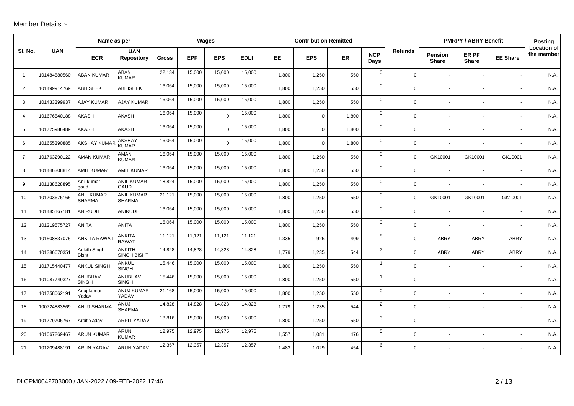## Member Details :-

|                |              | Name as per                        |                                    |              | Wages      |             |             |       | <b>Contribution Remitted</b> |       |                    |                |                                | <b>PMRPY / ABRY Benefit</b> |                 | Posting                          |
|----------------|--------------|------------------------------------|------------------------------------|--------------|------------|-------------|-------------|-------|------------------------------|-------|--------------------|----------------|--------------------------------|-----------------------------|-----------------|----------------------------------|
| SI. No.        | <b>UAN</b>   | <b>ECR</b>                         | <b>UAN</b><br>Repository           | <b>Gross</b> | <b>EPF</b> | <b>EPS</b>  | <b>EDLI</b> | EE    | <b>EPS</b>                   | ER    | <b>NCP</b><br>Days | <b>Refunds</b> | <b>Pension</b><br><b>Share</b> | ER PF<br><b>Share</b>       | <b>EE Share</b> | <b>Location of</b><br>the member |
| $\overline{1}$ | 101484880560 | <b>ABAN KUMAR</b>                  | ABAN<br><b>KUMAR</b>               | 22,134       | 15,000     | 15,000      | 15,000      | 1,800 | 1,250                        | 550   | $\mathbf 0$        | $\mathbf 0$    |                                |                             |                 | N.A.                             |
| 2              | 101499914769 | <b>ABHISHEK</b>                    | <b>ABHISHEK</b>                    | 16,064       | 15,000     | 15,000      | 15,000      | 1,800 | 1,250                        | 550   | $\mathbf 0$        | $\Omega$       |                                |                             |                 | N.A.                             |
| 3              | 101433399937 | <b>AJAY KUMAR</b>                  | <b>AJAY KUMAR</b>                  | 16,064       | 15,000     | 15,000      | 15,000      | 1,800 | 1,250                        | 550   | $\mathbf 0$        | $\overline{0}$ |                                |                             |                 | N.A                              |
| 4              | 101676540188 | <b>AKASH</b>                       | <b>AKASH</b>                       | 16,064       | 15,000     | $\Omega$    | 15,000      | 1,800 | $\mathbf 0$                  | 1,800 | $\mathbf 0$        | $\mathbf 0$    |                                |                             |                 | N.A.                             |
| 5              | 101725986489 | <b>AKASH</b>                       | <b>AKASH</b>                       | 16,064       | 15,000     | $\Omega$    | 15,000      | 1,800 | $\mathbf 0$                  | 1,800 | $\mathbf 0$        | $\Omega$       |                                |                             |                 | N.A                              |
| 6              | 101655390885 | <b>AKSHAY KUMAF</b>                | <b>AKSHAY</b><br><b>KUMAR</b>      | 16,064       | 15,000     | $\mathbf 0$ | 15,000      | 1,800 | $\mathbf 0$                  | 1,800 | $\mathbf 0$        | 0              |                                |                             |                 | N.A.                             |
| $\overline{7}$ | 101763290122 | <b>AMAN KUMAR</b>                  | AMAN<br><b>KUMAR</b>               | 16,064       | 15,000     | 15,000      | 15,000      | 1,800 | 1,250                        | 550   | $\mathbf 0$        | $\mathbf 0$    | GK10001                        | GK10001                     | GK10001         | N.A.                             |
| 8              | 101446308814 | <b>AMIT KUMAR</b>                  | <b>AMIT KUMAR</b>                  | 16,064       | 15,000     | 15,000      | 15,000      | 1,800 | 1,250                        | 550   | $\Omega$           | 0              |                                |                             |                 | N.A.                             |
| 9              | 101138628895 | Anil kumar<br>qaud                 | <b>ANIL KUMAR</b><br><b>GAUD</b>   | 18,824       | 15,000     | 15,000      | 15,000      | 1,800 | 1,250                        | 550   | $\mathbf 0$        | $\mathbf 0$    |                                |                             |                 | N.A.                             |
| 10             | 101703676165 | <b>ANIL KUMAR</b><br><b>SHARMA</b> | <b>ANIL KUMAR</b><br><b>SHARMA</b> | 21,121       | 15,000     | 15,000      | 15,000      | 1,800 | 1,250                        | 550   | $\mathbf 0$        | $\Omega$       | GK10001                        | GK10001                     | GK10001         | N.A.                             |
| 11             | 101485167181 | ANIRUDH                            | ANIRUDH                            | 16,064       | 15,000     | 15,000      | 15,000      | 1,800 | 1,250                        | 550   | $\mathbf 0$        | 0              |                                |                             |                 | N.A.                             |
| 12             | 101219575727 | <b>ANITA</b>                       | <b>ANITA</b>                       | 16,064       | 15,000     | 15,000      | 15,000      | 1,800 | 1,250                        | 550   | $\mathbf 0$        | 0              |                                |                             |                 | N.A                              |
| 13             | 101508837075 | <b>ANKITA RAWA</b>                 | <b>ANKITA</b><br><b>RAWAT</b>      | 11,121       | 11,121     | 11,121      | 11,121      | 1,335 | 926                          | 409   | 8                  | $\Omega$       | <b>ABRY</b>                    | ABRY                        | ABRY            | N.A.                             |
| 14             | 101386670351 | Ankith Singh<br><b>Bisht</b>       | <b>ANKITH</b><br>SINGH BISHT       | 14,828       | 14,828     | 14,828      | 14,828      | 1,779 | 1,235                        | 544   | $\overline{2}$     | $\Omega$       | <b>ABRY</b>                    | <b>ABRY</b>                 | <b>ABRY</b>     | N.A.                             |
| 15             | 101715440477 | <b>ANKUL SINGH</b>                 | ANKUL<br><b>SINGH</b>              | 15,446       | 15,000     | 15,000      | 15,000      | 1,800 | 1,250                        | 550   | $\overline{1}$     | $\overline{0}$ |                                |                             |                 | N.A.                             |
| 16             | 101087749327 | ANUBHAV<br><b>SINGH</b>            | ANUBHAV<br><b>SINGH</b>            | 15,446       | 15,000     | 15,000      | 15,000      | 1,800 | 1,250                        | 550   | $\mathbf{1}$       | 0              |                                |                             |                 | N.A.                             |
| 17             | 101758062191 | Anuj kumar<br>Yadav                | ANUJ KUMAR<br>YADAV                | 21,168       | 15,000     | 15,000      | 15,000      | 1,800 | 1,250                        | 550   | $\mathbf 0$        | $\overline{0}$ |                                |                             |                 | N.A                              |
| 18             | 100724883569 | ANUJ SHARMA                        | ANUJ<br><b>SHARMA</b>              | 14,828       | 14,828     | 14,828      | 14,828      | 1,779 | 1,235                        | 544   | $\overline{2}$     | 0              |                                |                             |                 | N.A.                             |
| 19             | 101779706767 | Arpit Yadav                        | <b>ARPIT YADAV</b>                 | 18,816       | 15,000     | 15,000      | 15,000      | 1,800 | 1,250                        | 550   | 3                  | 0              |                                |                             |                 | N.A.                             |
| 20             | 101067269467 | <b>ARUN KUMAR</b>                  | ARUN<br><b>KUMAR</b>               | 12,975       | 12,975     | 12,975      | 12,975      | 1,557 | 1,081                        | 476   | 5                  | 0              |                                |                             |                 | N.A.                             |
| 21             | 101209488191 | <b>ARUN YADAV</b>                  | <b>ARUN YADAV</b>                  | 12,357       | 12,357     | 12,357      | 12,357      | 1.483 | 1,029                        | 454   | 6                  | $\Omega$       |                                |                             |                 | N.A.                             |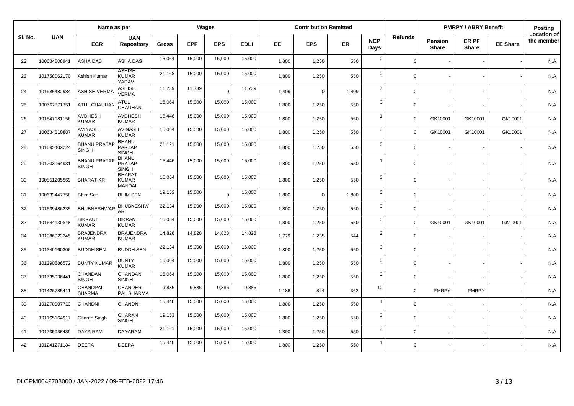|         | Name as per  |                                     |                                               |        | Wages      |            |             | <b>Contribution Remitted</b> |             |       |                    |                | <b>PMRPY / ABRY Benefit</b>    |                       | <b>Posting</b>  |                                  |
|---------|--------------|-------------------------------------|-----------------------------------------------|--------|------------|------------|-------------|------------------------------|-------------|-------|--------------------|----------------|--------------------------------|-----------------------|-----------------|----------------------------------|
| SI. No. | <b>UAN</b>   | <b>ECR</b>                          | <b>UAN</b><br><b>Repository</b>               | Gross  | <b>EPF</b> | <b>EPS</b> | <b>EDLI</b> | EE                           | <b>EPS</b>  | ER    | <b>NCP</b><br>Days | <b>Refunds</b> | <b>Pension</b><br><b>Share</b> | ER PF<br><b>Share</b> | <b>EE Share</b> | <b>Location of</b><br>the member |
| 22      | 100634808941 | ASHA DAS                            | ASHA DAS                                      | 16,064 | 15,000     | 15,000     | 15,000      | 1,800                        | 1,250       | 550   | $\mathbf 0$        | $\Omega$       |                                |                       |                 | N.A.                             |
| 23      | 101758062170 | Ashish Kumar                        | <b>ASHISH</b><br><b>KUMAR</b><br>YADAV        | 21,168 | 15,000     | 15,000     | 15,000      | 1,800                        | 1,250       | 550   | $\mathbf 0$        | $\Omega$       |                                |                       |                 | N.A.                             |
| 24      | 101685482984 | <b>ASHISH VERMA</b>                 | ASHISH<br>VERMA                               | 11,739 | 11,739     | $\Omega$   | 11,739      | 1.409                        | $\Omega$    | 1,409 | $\overline{7}$     | $\Omega$       |                                |                       |                 | N.A.                             |
| 25      | 100767871751 | <b>ATUL CHAUHAI</b>                 | <b>ATUL</b><br>CHAUHAN                        | 16,064 | 15,000     | 15,000     | 15,000      | 1,800                        | 1,250       | 550   | $\mathbf 0$        | $\Omega$       |                                |                       |                 | N.A.                             |
| 26      | 101547181156 | AVDHESH<br><b>KUMAR</b>             | <b>AVDHESH</b><br><b>KUMAR</b>                | 15,446 | 15,000     | 15,000     | 15,000      | 1,800                        | 1,250       | 550   | $\overline{1}$     | $\Omega$       | GK10001                        | GK10001               | GK10001         | N.A.                             |
| 27      | 100634810887 | <b>AVINASH</b><br><b>KUMAR</b>      | <b>AVINASH</b><br><b>KUMAR</b>                | 16,064 | 15,000     | 15,000     | 15,000      | 1,800                        | 1,250       | 550   | $\mathbf 0$        | $\Omega$       | GK10001                        | GK10001               | GK10001         | N.A.                             |
| 28      | 101695402224 | <b>BHANU PRATAP</b><br><b>SINGH</b> | <b>BHANU</b><br><b>PARTAP</b><br><b>SINGH</b> | 21,121 | 15,000     | 15,000     | 15,000      | 1,800                        | 1,250       | 550   | $\mathbf 0$        | $\Omega$       |                                |                       |                 | N.A.                             |
| 29      | 101203164931 | <b>BHANU PRATAF</b><br><b>SINGH</b> | <b>BHANU</b><br><b>PRATAP</b><br><b>SINGH</b> | 15,446 | 15,000     | 15,000     | 15,000      | 1,800                        | 1,250       | 550   | $\overline{1}$     | $\Omega$       |                                |                       |                 | N.A.                             |
| 30      | 100551205569 | <b>BHARAT KR</b>                    | <b>BHARAT</b><br><b>KUMAR</b><br>MANDAL       | 16,064 | 15,000     | 15,000     | 15,000      | 1,800                        | 1,250       | 550   | $\mathbf 0$        | $\Omega$       |                                |                       |                 | N.A.                             |
| 31      | 100633447758 | <b>Bhim Sen</b>                     | <b>BHIM SEN</b>                               | 19,153 | 15,000     | $\Omega$   | 15,000      | 1,800                        | $\mathbf 0$ | 1,800 | $\mathsf 0$        | $\Omega$       |                                |                       |                 | N.A.                             |
| 32      | 101639486235 | <b>BHUBNESHWAI</b>                  | <b>BHUBNESHW</b><br><b>AR</b>                 | 22,134 | 15,000     | 15,000     | 15,000      | 1,800                        | 1,250       | 550   | $\mathbf 0$        | $\Omega$       |                                |                       |                 | N.A.                             |
| 33      | 101644130848 | <b>BIKRANT</b><br><b>KUMAR</b>      | <b>BIKRANT</b><br><b>KUMAR</b>                | 16,064 | 15,000     | 15,000     | 15,000      | 1,800                        | 1,250       | 550   | $\mathbf 0$        | $\Omega$       | GK10001                        | GK10001               | GK10001         | N.A.                             |
| 34      | 101086023345 | <b>BRAJENDRA</b><br><b>KUMAR</b>    | <b>BRAJENDRA</b><br><b>KUMAR</b>              | 14,828 | 14,828     | 14,828     | 14,828      | 1,779                        | 1,235       | 544   | $\overline{2}$     | $\Omega$       |                                |                       |                 | N.A.                             |
| 35      | 101349160306 | <b>BUDDH SEN</b>                    | <b>BUDDH SEN</b>                              | 22,134 | 15.000     | 15,000     | 15,000      | 1.800                        | 1,250       | 550   | $\mathbf 0$        | $\Omega$       |                                |                       |                 | N.A.                             |
| 36      | 101290886572 | <b>BUNTY KUMAR</b>                  | <b>BUNTY</b><br><b>KUMAR</b>                  | 16,064 | 15,000     | 15,000     | 15,000      | 1,800                        | 1,250       | 550   | $\mathbf 0$        | $\Omega$       |                                |                       |                 | N.A.                             |
| 37      | 101735936441 | CHANDAN<br><b>SINGH</b>             | CHANDAN<br><b>SINGH</b>                       | 16,064 | 15,000     | 15,000     | 15,000      | 1,800                        | 1,250       | 550   | $\mathbf 0$        | $\mathbf 0$    |                                |                       |                 | N.A.                             |
| 38      | 101426785411 | CHANDPAL<br><b>SHARMA</b>           | <b>CHANDER</b><br>PAL SHARMA                  | 9,886  | 9,886      | 9,886      | 9,886       | 1,186                        | 824         | 362   | 10                 | $\Omega$       | <b>PMRPY</b>                   | <b>PMRPY</b>          |                 | N.A.                             |
| 39      | 101270907713 | CHANDNI                             | CHANDNI                                       | 15,446 | 15,000     | 15,000     | 15,000      | 1,800                        | 1,250       | 550   | $\overline{1}$     | $\Omega$       |                                |                       |                 | N.A.                             |
| 40      | 101165164917 | Charan Singh                        | CHARAN<br><b>SINGH</b>                        | 19,153 | 15,000     | 15,000     | 15,000      | 1,800                        | 1,250       | 550   | $\mathsf 0$        | $\Omega$       |                                |                       |                 | N.A.                             |
| 41      | 101735936439 | DAYA RAM                            | <b>DAYARAM</b>                                | 21,121 | 15,000     | 15,000     | 15,000      | 1,800                        | 1,250       | 550   | $\mathbf 0$        | $\Omega$       |                                |                       |                 | N.A.                             |
| 42      | 101241271184 | <b>DEEPA</b>                        | DEEPA                                         | 15,446 | 15,000     | 15,000     | 15,000      | 1,800                        | 1,250       | 550   | $\overline{1}$     | $\Omega$       |                                |                       |                 | N.A.                             |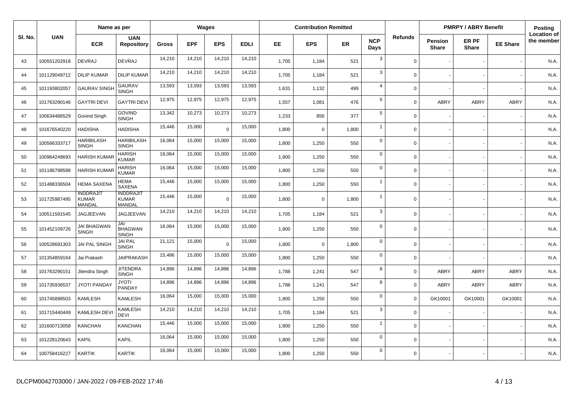|         | Name as per  |                                            |                                            |              | Wages      |            |             | <b>Contribution Remitted</b> |             |       |                    |                | <b>PMRPY / ABRY Benefit</b>    |                       | Posting         |                                  |
|---------|--------------|--------------------------------------------|--------------------------------------------|--------------|------------|------------|-------------|------------------------------|-------------|-------|--------------------|----------------|--------------------------------|-----------------------|-----------------|----------------------------------|
| SI. No. | <b>UAN</b>   | <b>ECR</b>                                 | <b>UAN</b><br><b>Repository</b>            | <b>Gross</b> | <b>EPF</b> | <b>EPS</b> | <b>EDLI</b> | EE.                          | <b>EPS</b>  | ER    | <b>NCP</b><br>Days | <b>Refunds</b> | <b>Pension</b><br><b>Share</b> | ER PF<br><b>Share</b> | <b>EE Share</b> | <b>Location of</b><br>the member |
| 43      | 100551202918 | <b>DEVRAJ</b>                              | <b>DEVRAJ</b>                              | 14,210       | 14,210     | 14,210     | 14,210      | 1,705                        | 1,184       | 521   | 3                  | $\Omega$       |                                |                       |                 | N.A.                             |
| 44      | 101129049712 | <b>DILIP KUMAR</b>                         | <b>DILIP KUMAR</b>                         | 14,210       | 14,210     | 14,210     | 14,210      | 1,705                        | 1,184       | 521   | 3                  | $\Omega$       |                                |                       |                 | N.A.                             |
| 45      | 101193802057 | <b>GAURAV SINGH</b>                        | <b>GAURAV</b><br><b>SINGH</b>              | 13,593       | 13,593     | 13,593     | 13,593      | 1,631                        | 1,132       | 499   | $\overline{4}$     | $\Omega$       |                                |                       |                 | N.A.                             |
| 46      | 101763290146 | <b>GAYTRI DEVI</b>                         | <b>GAYTRI DEVI</b>                         | 12,975       | 12,975     | 12,975     | 12,975      | 1,557                        | 1,081       | 476   | $\sqrt{5}$         | $\Omega$       | ABRY                           | ABRY                  | <b>ABRY</b>     | N.A.                             |
| 47      | 100634486529 | Govind Singh                               | <b>GOVIND</b><br><b>SINGH</b>              | 13,342       | 10,273     | 10,273     | 10,273      | 1,233                        | 856         | 377   | $\sqrt{5}$         | $\Omega$       |                                |                       |                 | N.A.                             |
| 48      | 101676540220 | <b>HADISHA</b>                             | <b>HADISHA</b>                             | 15,446       | 15,000     | $\Omega$   | 15,000      | 1,800                        | $\mathbf 0$ | 1,800 | $\overline{1}$     | $\Omega$       |                                |                       |                 | N.A.                             |
| 49      | 100566333717 | <b>HARIBILASH</b><br><b>SINGH</b>          | <b>HARIBILASH</b><br><b>SINGH</b>          | 16,064       | 15,000     | 15,000     | 15,000      | 1,800                        | 1,250       | 550   | $\mathbf 0$        | $\Omega$       |                                |                       |                 | N.A.                             |
| 50      | 100964248693 | HARISH KUMAF                               | <b>HARISH</b><br><b>KUMAR</b>              | 16,064       | 15,000     | 15,000     | 15,000      | 1,800                        | 1,250       | 550   | $\mathbf 0$        | $\Omega$       |                                |                       |                 | N.A.                             |
| 51      | 101186798598 | HARISH KUMAR                               | <b>HARISH</b><br><b>KUMAR</b>              | 16,064       | 15,000     | 15,000     | 15,000      | 1,800                        | 1,250       | 550   | $\mathbf 0$        | $\Omega$       |                                |                       |                 | N.A.                             |
| 52      | 101488336504 | <b>HEMA SAXENA</b>                         | <b>HEMA</b><br><b>SAXENA</b>               | 15,446       | 15,000     | 15,000     | 15,000      | 1,800                        | 1,250       | 550   | $\overline{1}$     | $\Omega$       |                                |                       |                 | N.A.                             |
| 53      | 101725987495 | <b>INDDRAJIT</b><br><b>KUMAR</b><br>MANDAL | <b>INDDRAJIT</b><br><b>KUMAR</b><br>MANDAL | 15,446       | 15,000     | $\Omega$   | 15,000      | 1,800                        | $\mathbf 0$ | 1,800 | $\overline{1}$     | $\Omega$       |                                |                       |                 | N.A.                             |
| 54      | 100511591545 | JAGJEEVAN                                  | JAGJEEVAN                                  | 14,210       | 14,210     | 14,210     | 14,210      | 1,705                        | 1,184       | 521   | $\mathbf{3}$       | $\Omega$       |                                |                       |                 | N.A.                             |
| 55      | 101452109726 | <b>JAI BHAGWAN</b><br><b>SINGH</b>         | JAI<br><b>BHAGWAN</b><br><b>SINGH</b>      | 16,064       | 15,000     | 15,000     | 15,000      | 1,800                        | 1,250       | 550   | $\overline{0}$     | $\Omega$       |                                |                       |                 | N.A.                             |
| 56      | 100528691303 | JAI PAL SINGH                              | <b>JAI PAL</b><br><b>SINGH</b>             | 21,121       | 15,000     | $\Omega$   | 15,000      | 1,800                        | $\mathbf 0$ | 1,800 | $\mathbf 0$        | $\Omega$       |                                |                       |                 | N.A.                             |
| 57      | 101354859164 | Jai Prakash                                | <b>JAIPRAKASH</b>                          | 15,496       | 15,000     | 15,000     | 15,000      | 1,800                        | 1,250       | 550   | $\mathbf 0$        | $\Omega$       |                                |                       |                 | N.A.                             |
| 58      | 101763290151 | Jitendra Singh                             | <b>JITENDRA</b><br><b>SINGH</b>            | 14,896       | 14,896     | 14,896     | 14,896      | 1,788                        | 1,241       | 547   | 8                  | $\Omega$       | ABRY                           | <b>ABRY</b>           | ABRY            | N.A.                             |
| 59      | 101735936537 | <b>JYOTI PANDAY</b>                        | <b>JYOTI</b><br>PANDAY                     | 14,896       | 14,896     | 14,896     | 14,896      | 1,788                        | 1,241       | 547   | 8                  | $\Omega$       | ABRY                           | <b>ABRY</b>           | ABRY            | N.A.                             |
| 60      | 101745898503 | <b>KAMLESH</b>                             | KAMLESH                                    | 16,064       | 15,000     | 15,000     | 15,000      | 1,800                        | 1,250       | 550   | $\mathbf 0$        | $\Omega$       | GK10001                        | GK10001               | GK10001         | N.A.                             |
| 61      | 101715440449 | <b>KAMLESH DEVI</b>                        | <b>KAMLESH</b><br>DEVI                     | 14,210       | 14,210     | 14,210     | 14,210      | 1,705                        | 1,184       | 521   | $\mathbf{3}$       | $\Omega$       |                                |                       |                 | N.A.                             |
| 62      | 101600713058 | <b>KANCHAN</b>                             | KANCHAN                                    | 15,446       | 15,000     | 15,000     | 15,000      | 1,800                        | 1,250       | 550   | $\overline{1}$     | $\Omega$       |                                |                       |                 | N.A.                             |
| 63      | 101228120643 | <b>KAPIL</b>                               | <b>KAPIL</b>                               | 16,064       | 15,000     | 15,000     | 15,000      | 1,800                        | 1,250       | 550   | $\mathbf 0$        | $\Omega$       |                                |                       |                 | N.A.                             |
| 64      | 100758416227 | <b>KARTIK</b>                              | KARTIK                                     | 16,064       | 15,000     | 15,000     | 15,000      | 1,800                        | 1,250       | 550   | $\mathbf 0$        | $\Omega$       |                                |                       |                 | N.A.                             |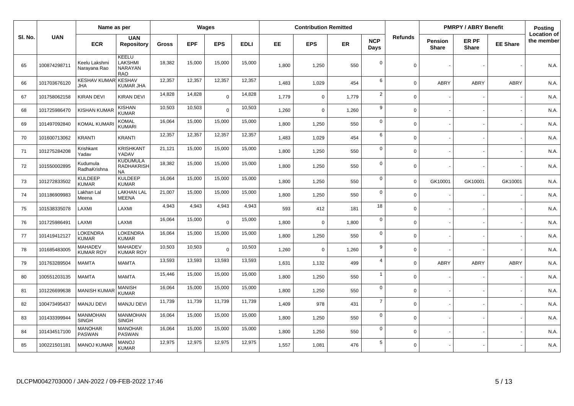|         |              | Name as per                       |                                                   |              |            | <b>Wages</b> |             |       | <b>Contribution Remitted</b> |           |                    |                |                                | <b>PMRPY / ABRY Benefit</b> |                 | <b>Posting</b>                   |
|---------|--------------|-----------------------------------|---------------------------------------------------|--------------|------------|--------------|-------------|-------|------------------------------|-----------|--------------------|----------------|--------------------------------|-----------------------------|-----------------|----------------------------------|
| SI. No. | <b>UAN</b>   | <b>ECR</b>                        | <b>UAN</b><br><b>Repository</b>                   | <b>Gross</b> | <b>EPF</b> | <b>EPS</b>   | <b>EDLI</b> | EE.   | <b>EPS</b>                   | <b>ER</b> | <b>NCP</b><br>Days | <b>Refunds</b> | <b>Pension</b><br><b>Share</b> | ER PF<br><b>Share</b>       | <b>EE Share</b> | <b>Location of</b><br>the member |
| 65      | 100874298711 | Keelu Lakshmi<br>Narayana Rao     | KEELU<br>LAKSHMI<br>NARAYAN<br><b>RAO</b>         | 18,382       | 15,000     | 15,000       | 15,000      | 1,800 | 1,250                        | 550       | $\mathbf 0$        | $\Omega$       |                                |                             |                 | N.A.                             |
| 66      | 101703676120 | <b>KESHAV KUMAR</b><br><b>JHA</b> | <b>KESHAV</b><br>KUMAR JHA                        | 12,357       | 12,357     | 12,357       | 12,357      | 1.483 | 1,029                        | 454       | 6                  | $\Omega$       | ABRY                           | <b>ABRY</b>                 | <b>ABRY</b>     | N.A.                             |
| 67      | 101758062158 | <b>KIRAN DEVI</b>                 | KIRAN DEVI                                        | 14,828       | 14,828     | $\Omega$     | 14,828      | 1,779 | $\mathbf 0$                  | 1,779     | $\overline{2}$     | $\Omega$       |                                |                             |                 | N.A.                             |
| 68      | 101725986470 | KISHAN KUMA                       | KISHAN<br><b>KUMAR</b>                            | 10,503       | 10,503     | $\Omega$     | 10,503      | 1,260 | $\mathbf 0$                  | 1,260     | 9                  | $\Omega$       |                                |                             |                 | N.A.                             |
| 69      | 101497092840 | <b>KOMAL KUMAR</b>                | <b>KOMAL</b><br><b>KUMARI</b>                     | 16,064       | 15,000     | 15,000       | 15,000      | 1,800 | 1,250                        | 550       | $\mathbf 0$        | $\Omega$       |                                |                             |                 | N.A.                             |
| 70      | 101600713062 | <b>KRANTI</b>                     | <b>KRANTI</b>                                     | 12,357       | 12,357     | 12,357       | 12,357      | 1,483 | 1,029                        | 454       | 6                  | $\Omega$       |                                |                             |                 | N.A.                             |
| 71      | 101275284208 | Krishkant<br>Yadav                | <b>KRISHKANT</b><br>YADAV                         | 21,121       | 15,000     | 15,000       | 15,000      | 1,800 | 1,250                        | 550       | $\mathbf 0$        | $\mathbf 0$    |                                |                             |                 | N.A.                             |
| 72      | 101550002895 | Kudumula<br>RadhaKrishna          | <b>KUDUMULA</b><br><b>RADHAKRISH</b><br><b>NA</b> | 18,382       | 15,000     | 15,000       | 15,000      | 1,800 | 1,250                        | 550       | $\mathbf 0$        | $\Omega$       |                                |                             |                 | N.A.                             |
| 73      | 101272833502 | <b>KULDEEP</b><br><b>KUMAR</b>    | <b>KULDEEP</b><br><b>KUMAR</b>                    | 16,064       | 15,000     | 15,000       | 15,000      | 1.800 | 1,250                        | 550       | $\mathbf 0$        | $\Omega$       | GK10001                        | GK10001                     | GK10001         | N.A.                             |
| 74      | 101186909983 | Lakhan Lal<br>Meena               | <b>LAKHAN LAL</b><br><b>MEENA</b>                 | 21,007       | 15,000     | 15,000       | 15,000      | 1.800 | 1,250                        | 550       | $\mathbf 0$        | $\Omega$       |                                |                             |                 | N.A.                             |
| 75      | 101538335078 | LAXMI                             | LAXMI                                             | 4,943        | 4,943      | 4,943        | 4,943       | 593   | 412                          | 181       | 18                 | $\Omega$       |                                |                             |                 | N.A.                             |
| 76      | 101725986491 | LAXMI                             | LAXMI                                             | 16,064       | 15,000     | $\Omega$     | 15,000      | 1,800 | $\mathbf 0$                  | 1,800     | $\mathbf 0$        | $\Omega$       |                                |                             |                 | N.A.                             |
| 77      | 101419412127 | LOKENDRA<br><b>KUMAR</b>          | LOKENDRA<br><b>KUMAR</b>                          | 16,064       | 15,000     | 15,000       | 15,000      | 1.800 | 1,250                        | 550       | $\mathbf 0$        | $\Omega$       |                                |                             |                 | N.A.                             |
| 78      | 101685483005 | MAHADEV<br><b>KUMAR ROY</b>       | <b>MAHADEV</b><br><b>KUMAR ROY</b>                | 10,503       | 10,503     | $\Omega$     | 10,503      | 1,260 | $\mathbf 0$                  | 1,260     | 9                  | $\Omega$       |                                |                             |                 | N.A.                             |
| 79      | 101763289504 | <b>MAMTA</b>                      | MAMTA                                             | 13,593       | 13,593     | 13,593       | 13,593      | 1,631 | 1,132                        | 499       | $\overline{4}$     | $\Omega$       | ABRY                           | ABRY                        | ABRY            | N.A.                             |
| 80      | 100551203135 | <b>MAMTA</b>                      | <b>MAMTA</b>                                      | 15,446       | 15,000     | 15,000       | 15,000      | 1,800 | 1,250                        | 550       | $\overline{1}$     | $\Omega$       |                                |                             |                 | N.A.                             |
| 81      | 101226699638 | <b>MANISH KUMA</b>                | <b>MANISH</b><br><b>KUMAR</b>                     | 16,064       | 15,000     | 15,000       | 15,000      | 1,800 | 1,250                        | 550       | $\mathbf 0$        | $\Omega$       |                                |                             |                 | N.A.                             |
| 82      | 100473495437 | <b>MANJU DEVI</b>                 | <b>MANJU DEVI</b>                                 | 11,739       | 11,739     | 11,739       | 11,739      | 1,409 | 978                          | 431       | $\overline{7}$     | $\mathbf 0$    |                                |                             |                 | N.A.                             |
| 83      | 101433399944 | <b>MANMOHAN</b><br><b>SINGH</b>   | <b>MANMOHAN</b><br>SINGH                          | 16,064       | 15,000     | 15,000       | 15,000      | 1,800 | 1,250                        | 550       | $\mathbf 0$        | $\Omega$       |                                |                             |                 | N.A.                             |
| 84      | 101434517100 | <b>MANOHAR</b><br><b>PASWAN</b>   | <b>MANOHAR</b><br>PASWAN                          | 16,064       | 15,000     | 15,000       | 15,000      | 1,800 | 1,250                        | 550       | $\mathbf 0$        | $\Omega$       |                                |                             |                 | N.A.                             |
| 85      | 100221501181 | <b>MANOJ KUMAR</b>                | <b>MANOJ</b><br><b>KUMAR</b>                      | 12,975       | 12,975     | 12,975       | 12,975      | 1,557 | 1,081                        | 476       | $\sqrt{5}$         | $\mathbf 0$    |                                |                             |                 | N.A.                             |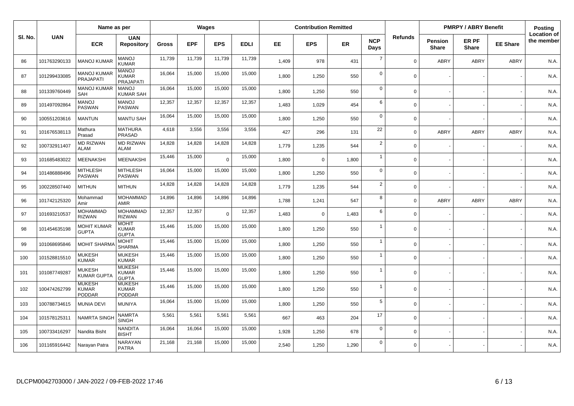|        |              | Name as per                                    |                                               |              |            | <b>Wages</b> |             |       | <b>Contribution Remitted</b> |           |                    |                |                         | <b>PMRPY / ABRY Benefit</b> |                 | Posting                          |
|--------|--------------|------------------------------------------------|-----------------------------------------------|--------------|------------|--------------|-------------|-------|------------------------------|-----------|--------------------|----------------|-------------------------|-----------------------------|-----------------|----------------------------------|
| SI. No | <b>UAN</b>   | <b>ECR</b>                                     | <b>UAN</b><br><b>Repository</b>               | <b>Gross</b> | <b>EPF</b> | <b>EPS</b>   | <b>EDLI</b> | EE.   | <b>EPS</b>                   | <b>ER</b> | <b>NCP</b><br>Days | <b>Refunds</b> | Pension<br><b>Share</b> | ER PF<br><b>Share</b>       | <b>EE Share</b> | <b>Location of</b><br>the member |
| 86     | 101763290133 | <b>MANOJ KUMAR</b>                             | <b>MANOJ</b><br><b>KUMAR</b>                  | 11,739       | 11,739     | 11,739       | 11,739      | 1,409 | 978                          | 431       | $\overline{7}$     | $\Omega$       | ABRY                    | <b>ABRY</b>                 | <b>ABRY</b>     | N.A.                             |
| 87     | 101299433085 | <b>MANOJ KUMAR</b><br>PRAJAPATI                | <b>MANOJ</b><br>KUMAR<br><b>PRAJAPATI</b>     | 16,064       | 15,000     | 15,000       | 15,000      | 1,800 | 1,250                        | 550       | $\mathbf 0$        | $\Omega$       |                         |                             |                 | N.A.                             |
| 88     | 101339760449 | <b>MANOJ KUMAR</b><br><b>SAH</b>               | <b>MANOJ</b><br>KUMAR SAH                     | 16,064       | 15,000     | 15,000       | 15,000      | 1,800 | 1,250                        | 550       | $\mathbf 0$        | $\Omega$       |                         |                             |                 | N.A.                             |
| 89     | 101497092864 | <b>MANOJ</b><br><b>PASWAN</b>                  | <b>MANOJ</b><br><b>PASWAN</b>                 | 12,357       | 12,357     | 12,357       | 12,357      | 1,483 | 1,029                        | 454       | 6                  | $\Omega$       |                         |                             |                 | N.A.                             |
| 90     | 100551203616 | <b>MANTUN</b>                                  | <b>MANTU SAH</b>                              | 16,064       | 15,000     | 15,000       | 15,000      | 1,800 | 1,250                        | 550       | $\mathbf 0$        | $\Omega$       |                         |                             |                 | N.A.                             |
| 91     | 101676538113 | Mathura<br>Prasad                              | <b>MATHURA</b><br><b>PRASAD</b>               | 4,618        | 3,556      | 3,556        | 3,556       | 427   | 296                          | 131       | 22                 | $\Omega$       | ABRY                    | <b>ABRY</b>                 | <b>ABRY</b>     | N.A.                             |
| 92     | 100732911407 | <b>MD RIZWAN</b><br><b>ALAM</b>                | <b>MD RIZWAN</b><br><b>ALAM</b>               | 14,828       | 14,828     | 14,828       | 14,828      | 1,779 | 1,235                        | 544       | $\overline{2}$     | $\Omega$       |                         |                             |                 | N.A.                             |
| 93     | 101685483022 | <b>MEENAKSHI</b>                               | MEENAKSHI                                     | 15,446       | 15,000     | $\Omega$     | 15,000      | 1,800 | $\mathbf 0$                  | 1,800     | $\overline{1}$     | $\Omega$       |                         |                             |                 | N.A.                             |
| 94     | 101486888496 | <b>MITHLESH</b><br><b>PASWAN</b>               | <b>MITHLESH</b><br><b>PASWAN</b>              | 16,064       | 15,000     | 15,000       | 15,000      | 1,800 | 1,250                        | 550       | $\mathbf 0$        | $\Omega$       |                         |                             |                 | N.A.                             |
| 95     | 100228507440 | <b>MITHUN</b>                                  | <b>MITHUN</b>                                 | 14,828       | 14,828     | 14,828       | 14,828      | 1,779 | 1,235                        | 544       | $\overline{2}$     | $\Omega$       |                         |                             |                 | N.A.                             |
| 96     | 101742125320 | Mohammad<br>Amir                               | <b>MOHAMMAD</b><br><b>AMIR</b>                | 14,896       | 14,896     | 14,896       | 14,896      | 1.788 | 1,241                        | 547       | 8                  | $\Omega$       | ABRY                    | <b>ABRY</b>                 | ABRY            | N.A.                             |
| 97     | 101693210537 | <b>MOHAMMAD</b><br><b>RIZWAN</b>               | <b>MOHAMMAD</b><br><b>RIZWAN</b>              | 12,357       | 12,357     | $\Omega$     | 12,357      | 1,483 | $\Omega$                     | 1,483     | 6                  | $\Omega$       |                         |                             |                 | N.A.                             |
| 98     | 101454635198 | <b>MOHIT KUMAR</b><br><b>GUPTA</b>             | <b>MOHIT</b><br><b>KUMAR</b><br><b>GUPTA</b>  | 15,446       | 15,000     | 15,000       | 15,000      | 1.800 | 1,250                        | 550       | $\overline{1}$     | $\Omega$       |                         |                             |                 | N.A.                             |
| 99     | 101068695846 | <b>MOHIT SHARM</b>                             | <b>MOHIT</b><br><b>SHARMA</b>                 | 15,446       | 15,000     | 15,000       | 15,000      | 1,800 | 1,250                        | 550       | $\overline{1}$     | $\Omega$       |                         |                             |                 | N.A.                             |
| 100    | 101528815510 | <b>MUKESH</b><br><b>KUMAR</b>                  | <b>MUKESH</b><br><b>KUMAR</b>                 | 15,446       | 15,000     | 15,000       | 15,000      | 1.800 | 1,250                        | 550       | $\overline{1}$     | $\Omega$       |                         |                             |                 | N.A.                             |
| 101    | 101087749287 | MUKESH<br><b>KUMAR GUPTA</b>                   | <b>MUKESH</b><br><b>KUMAR</b><br><b>GUPTA</b> | 15,446       | 15,000     | 15,000       | 15,000      | 1,800 | 1,250                        | 550       | $\overline{1}$     | $\Omega$       |                         |                             |                 | N.A.                             |
| 102    | 100474262799 | <b>MUKESH</b><br><b>KUMAR</b><br><b>PODDAR</b> | <b>MUKESH</b><br><b>KUMAR</b><br>PODDAR       | 15,446       | 15,000     | 15,000       | 15,000      | 1,800 | 1,250                        | 550       | $\overline{1}$     | $\Omega$       |                         |                             |                 | N.A.                             |
| 103    | 100788734615 | <b>MUNIA DEVI</b>                              | <b>MUNIYA</b>                                 | 16,064       | 15,000     | 15,000       | 15,000      | 1,800 | 1,250                        | 550       | 5                  | $\Omega$       |                         |                             |                 | N.A.                             |
| 104    | 101578125311 | <b>NAMRTA SINGI</b>                            | <b>NAMRTA</b><br><b>SINGH</b>                 | 5,561        | 5,561      | 5,561        | 5,561       | 667   | 463                          | 204       | 17                 | $\Omega$       |                         |                             |                 | N.A.                             |
| 105    | 100733416297 | Nandita Bisht                                  | <b>NANDITA</b><br><b>BISHT</b>                | 16,064       | 16,064     | 15,000       | 15,000      | 1,928 | 1,250                        | 678       | $\mathsf 0$        | $\Omega$       |                         |                             |                 | N.A.                             |
| 106    | 101165916442 | Narayan Patra                                  | NARAYAN<br><b>PATRA</b>                       | 21,168       | 21,168     | 15,000       | 15,000      | 2,540 | 1,250                        | 1,290     | $\mathbf 0$        | $\Omega$       |                         |                             |                 | N.A.                             |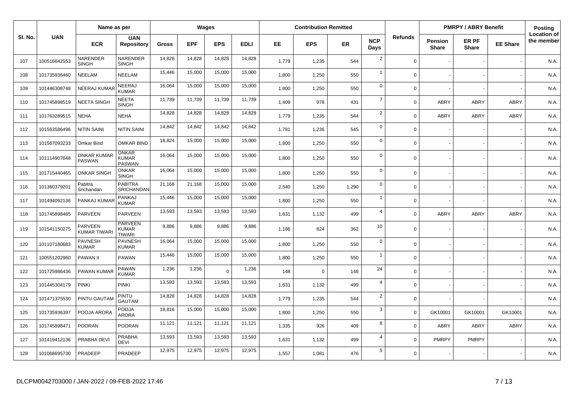|         | Name as per  |                               |                                                 |              | Wages      |            |             | <b>Contribution Remitted</b> |             |           |                    |                | <b>PMRPY / ABRY Benefit</b>    |                       | Posting         |                                  |
|---------|--------------|-------------------------------|-------------------------------------------------|--------------|------------|------------|-------------|------------------------------|-------------|-----------|--------------------|----------------|--------------------------------|-----------------------|-----------------|----------------------------------|
| SI. No. | <b>UAN</b>   | <b>ECR</b>                    | <b>UAN</b><br><b>Repository</b>                 | <b>Gross</b> | <b>EPF</b> | <b>EPS</b> | <b>EDLI</b> | EE.                          | <b>EPS</b>  | <b>ER</b> | <b>NCP</b><br>Days | <b>Refunds</b> | <b>Pension</b><br><b>Share</b> | ER PF<br><b>Share</b> | <b>EE Share</b> | <b>Location of</b><br>the member |
| 107     | 100516642553 | NARENDER<br><b>SINGH</b>      | NARENDER<br><b>SINGH</b>                        | 14,828       | 14,828     | 14,828     | 14,828      | 1,779                        | 1,235       | 544       | $\overline{2}$     | $\Omega$       |                                |                       |                 | N.A.                             |
| 108     | 101735936460 | NEELAM                        | NEELAM                                          | 15,446       | 15,000     | 15,000     | 15,000      | 1,800                        | 1,250       | 550       | $\overline{1}$     | $\Omega$       |                                |                       |                 | N.A.                             |
| 109     | 101446308748 | <b>NEERAJ KUMAR</b>           | NEERAJ<br>KUMAR                                 | 16,064       | 15,000     | 15,000     | 15,000      | 1,800                        | 1,250       | 550       | $\mathbf 0$        | $\Omega$       |                                |                       |                 | N.A.                             |
| 110     | 101745898519 | <b>NEETA SINGH</b>            | <b>NEETA</b><br><b>SINGH</b>                    | 11,739       | 11,739     | 11,739     | 11,739      | 1,409                        | 978         | 431       | $\overline{7}$     | $\Omega$       | ABRY                           | <b>ABRY</b>           | ABRY            | N.A.                             |
| 111     | 101763289515 | <b>NEHA</b>                   | <b>NEHA</b>                                     | 14,828       | 14,828     | 14,828     | 14,828      | 1,779                        | 1,235       | 544       | $\overline{2}$     | $\Omega$       | ABRY                           | <b>ABRY</b>           | <b>ABRY</b>     | N.A.                             |
| 112     | 101563586496 | <b>NITIN SAINI</b>            | NITIN SAINI                                     | 14,842       | 14,842     | 14,842     | 14,842      | 1,781                        | 1,236       | 545       | $\mathbf 0$        | $\Omega$       |                                |                       |                 | N.A.                             |
| 113     | 101567093233 | Omkar Bind                    | <b>OMKAR BIND</b>                               | 18,824       | 15,000     | 15,000     | 15,000      | 1,800                        | 1,250       | 550       | $\mathbf 0$        | $\Omega$       |                                |                       |                 | N.A.                             |
| 114     | 101114907648 | <b>ONKAR KUMAR</b><br>PASWAN  | ONKAR<br>KUMAR<br><b>PASWAN</b>                 | 16,064       | 15,000     | 15,000     | 15,000      | 1,800                        | 1,250       | 550       | $\mathbf 0$        | $\Omega$       |                                |                       |                 | N.A.                             |
| 115     | 101715440465 | <b>ONKAR SINGH</b>            | <b>ONKAR</b><br><b>SINGH</b>                    | 16,064       | 15,000     | 15,000     | 15,000      | 1,800                        | 1,250       | 550       | $\mathbf 0$        | $\Omega$       |                                |                       |                 | N.A.                             |
| 116     | 101360379201 | Pabitra<br>Srichandan         | <b>PABITRA</b><br><b>SRICHANDAN</b>             | 21,168       | 21,168     | 15,000     | 15,000      | 2,540                        | 1,250       | 1,290     | $\mathbf 0$        | $\Omega$       |                                |                       |                 | N.A.                             |
| 117     | 101494092136 | PANKAJ KUMAR                  | <b>PANKAJ</b><br><b>KUMAR</b>                   | 15,446       | 15,000     | 15,000     | 15,000      | 1,800                        | 1,250       | 550       | $\overline{1}$     | $\Omega$       |                                |                       |                 | N.A.                             |
| 118     | 101745898485 | PARVEEN                       | PARVEEN                                         | 13,593       | 13,593     | 13,593     | 13,593      | 1,631                        | 1,132       | 499       | $\overline{4}$     | $\Omega$       | ABRY                           | <b>ABRY</b>           | <b>ABRY</b>     | N.A.                             |
| 119     | 101541150275 | PARVEEN<br><b>KUMAR TIWAR</b> | <b>PARVEEN</b><br><b>KUMAR</b><br><b>TIWARI</b> | 9,886        | 9,886      | 9,886      | 9,886       | 1,186                        | 824         | 362       | 10                 | $\Omega$       |                                |                       |                 | N.A.                             |
| 120     | 101107180683 | <b>PAVNESH</b><br>KUMAR       | <b>PAVNESH</b><br><b>KUMAR</b>                  | 16,064       | 15,000     | 15,000     | 15,000      | 1,800                        | 1,250       | 550       | $\mathbf 0$        | $\Omega$       |                                |                       |                 | N.A.                             |
| 121     | 100551202960 | PAWAN II                      | <b>PAWAN</b>                                    | 15,446       | 15,000     | 15,000     | 15,000      | 1,800                        | 1,250       | 550       | $\overline{1}$     | $\Omega$       |                                |                       |                 | N.A.                             |
| 122     | 101725986436 | PAWAN KUMAR                   | PAWAN<br><b>KUMAR</b>                           | 1,236        | 1,236      | $\Omega$   | 1,236       | 148                          | $\mathbf 0$ | 148       | 24                 | $\Omega$       |                                |                       |                 | N.A.                             |
| 123     | 101445304179 | <b>PINKI</b>                  | <b>PINKI</b>                                    | 13,593       | 13,593     | 13,593     | 13,593      | 1,631                        | 1,132       | 499       | $\overline{4}$     | $\Omega$       |                                |                       |                 | N.A.                             |
| 124     | 101471375530 | PINTU GAUTAM                  | PINTU<br><b>GAUTAM</b>                          | 14,828       | 14,828     | 14,828     | 14,828      | 1,779                        | 1,235       | 544       | $\overline{2}$     | $\mathbf 0$    |                                |                       |                 | N.A.                             |
| 125     | 101735936397 | POOJA ARORA                   | <b>POOJA</b><br><b>ARORA</b>                    | 18,816       | 15,000     | 15,000     | 15,000      | 1,800                        | 1,250       | 550       | $\mathbf{3}$       | $\Omega$       | GK10001                        | GK10001               | GK10001         | N.A.                             |
| 126     | 101745898471 | <b>POORAN</b>                 | <b>POORAN</b>                                   | 11,121       | 11,121     | 11,121     | 11,121      | 1,335                        | 926         | 409       | 8                  | $\Omega$       | ABRY                           | <b>ABRY</b>           | <b>ABRY</b>     | N.A.                             |
| 127     | 101419412136 | PRABHA DEVI                   | <b>PRABHA</b><br><b>DEVI</b>                    | 13,593       | 13,593     | 13,593     | 13,593      | 1,631                        | 1,132       | 499       | $\overline{4}$     | $\Omega$       | <b>PMRPY</b>                   | <b>PMRPY</b>          |                 | N.A.                             |
| 128     | 101068695730 | PRADEEP                       | PRADEEP                                         | 12,975       | 12,975     | 12,975     | 12,975      | 1,557                        | 1,081       | 476       | 5                  | $\Omega$       |                                |                       |                 | N.A.                             |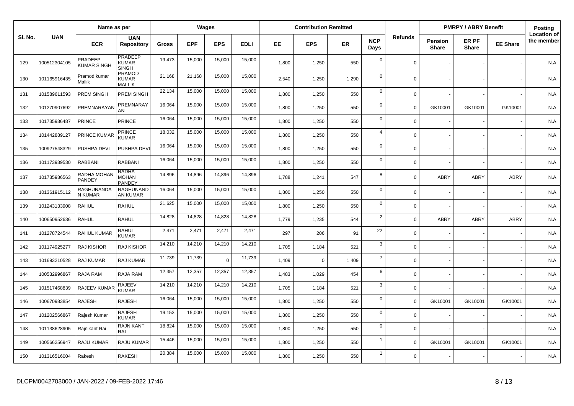|         |              | Name as per                   |                                                |              |            | Wages      |             |       | <b>Contribution Remitted</b> |       |                    |                |                                | <b>PMRPY / ABRY Benefit</b> |                 | Posting                          |
|---------|--------------|-------------------------------|------------------------------------------------|--------------|------------|------------|-------------|-------|------------------------------|-------|--------------------|----------------|--------------------------------|-----------------------------|-----------------|----------------------------------|
| SI. No. | <b>UAN</b>   | <b>ECR</b>                    | <b>UAN</b><br><b>Repository</b>                | <b>Gross</b> | <b>EPF</b> | <b>EPS</b> | <b>EDLI</b> | EE.   | <b>EPS</b>                   | ER    | <b>NCP</b><br>Days | <b>Refunds</b> | <b>Pension</b><br><b>Share</b> | ER PF<br><b>Share</b>       | <b>EE Share</b> | <b>Location of</b><br>the member |
| 129     | 100512304105 | PRADEEP<br><b>KUMAR SINGH</b> | <b>PRADEEP</b><br><b>KUMAR</b><br><b>SINGH</b> | 19,473       | 15,000     | 15,000     | 15,000      | 1,800 | 1,250                        | 550   | $\mathbf 0$        | $\mathbf 0$    |                                |                             |                 | N.A.                             |
| 130     | 101165916435 | Pramod kumar<br>Mallik        | <b>PRAMOD</b><br>KUMAR<br><b>MALLIK</b>        | 21,168       | 21,168     | 15,000     | 15,000      | 2,540 | 1,250                        | 1,290 | $\Omega$           | $\mathbf 0$    |                                |                             |                 | N.A.                             |
| 131     | 101589611593 | PREM SINGH                    | PREM SINGH                                     | 22,134       | 15,000     | 15,000     | 15,000      | 1,800 | 1,250                        | 550   | $\mathbf 0$        | $\mathbf 0$    |                                |                             |                 | N.A.                             |
| 132     | 101270907692 | PREMNARAYAN                   | PREMNARAY<br>AN                                | 16,064       | 15,000     | 15,000     | 15,000      | 1,800 | 1,250                        | 550   | $\mathbf 0$        | $\overline{0}$ | GK10001                        | GK10001                     | GK10001         | N.A.                             |
| 133     | 101735936487 | <b>PRINCE</b>                 | <b>PRINCE</b>                                  | 16,064       | 15,000     | 15,000     | 15,000      | 1,800 | 1,250                        | 550   | $\mathbf 0$        | $\mathbf 0$    |                                |                             |                 | N.A.                             |
| 134     | 101442889127 | PRINCE KUMAR                  | PRINCE<br><b>KUMAR</b>                         | 18,032       | 15,000     | 15,000     | 15,000      | 1,800 | 1,250                        | 550   | $\overline{4}$     | $\mathbf 0$    |                                |                             |                 | N.A.                             |
| 135     | 100927548329 | PUSHPA DEVI                   | PUSHPA DEVI                                    | 16,064       | 15,000     | 15,000     | 15,000      | 1,800 | 1,250                        | 550   | $\mathbf 0$        | $\mathbf 0$    |                                |                             |                 | N.A.                             |
| 136     | 101173939530 | <b>RABBANI</b>                | <b>RABBANI</b>                                 | 16,064       | 15,000     | 15,000     | 15,000      | 1,800 | 1,250                        | 550   | $\mathbf 0$        | $\mathbf 0$    |                                |                             |                 | N.A.                             |
| 137     | 101735936563 | RADHA MOHAN<br>PANDEY         | <b>RADHA</b><br><b>MOHAN</b><br>PANDEY         | 14,896       | 14,896     | 14,896     | 14,896      | 1,788 | 1,241                        | 547   | 8                  | $\mathbf 0$    | <b>ABRY</b>                    | <b>ABRY</b>                 | ABRY            | N.A.                             |
| 138     | 101361915112 | RAGHUNANDA<br>N KUMAR         | RAGHUNAND<br>AN KUMAR                          | 16,064       | 15,000     | 15,000     | 15,000      | 1,800 | 1,250                        | 550   | $\mathbf 0$        | $\mathbf 0$    |                                |                             |                 | N.A.                             |
| 139     | 101243133908 | <b>RAHUL</b>                  | <b>RAHUL</b>                                   | 21,625       | 15,000     | 15,000     | 15,000      | 1,800 | 1,250                        | 550   | $\mathbf 0$        | $\mathbf 0$    |                                |                             |                 | N.A.                             |
| 140     | 100650952636 | <b>RAHUL</b>                  | <b>RAHUL</b>                                   | 14,828       | 14,828     | 14,828     | 14,828      | 1,779 | 1,235                        | 544   | $\overline{2}$     | $\mathbf 0$    | <b>ABRY</b>                    | <b>ABRY</b>                 | <b>ABRY</b>     | N.A.                             |
| 141     | 101278724544 | <b>RAHUL KUMAR</b>            | <b>RAHUL</b><br><b>KUMAR</b>                   | 2,471        | 2,471      | 2,471      | 2,471       | 297   | 206                          | 91    | 22                 | $\mathbf 0$    |                                |                             |                 | N.A.                             |
| 142     | 101174925277 | <b>RAJ KISHOR</b>             | <b>RAJ KISHOR</b>                              | 14,210       | 14,210     | 14,210     | 14,210      | 1,705 | 1,184                        | 521   | 3                  | $\mathbf 0$    |                                |                             |                 | N.A.                             |
| 143     | 101693210528 | RAJ KUMAR                     | RAJ KUMAR                                      | 11,739       | 11,739     | $\Omega$   | 11,739      | 1,409 | $\mathbf 0$                  | 1,409 | $\overline{7}$     | $\mathbf 0$    |                                |                             |                 | N.A.                             |
| 144     | 100532996867 | RAJA RAM                      | RAJA RAM                                       | 12,357       | 12,357     | 12,357     | 12,357      | 1,483 | 1,029                        | 454   | 6                  | $\Omega$       |                                |                             |                 | N.A.                             |
| 145     | 101517468839 | RAJEEV KUMA                   | <b>RAJEEV</b><br><b>KUMAR</b>                  | 14,210       | 14,210     | 14,210     | 14,210      | 1,705 | 1,184                        | 521   | 3                  | $\mathbf 0$    |                                |                             |                 | N.A.                             |
| 146     | 100670983854 | <b>RAJESH</b>                 | <b>RAJESH</b>                                  | 16,064       | 15,000     | 15,000     | 15,000      | 1,800 | 1,250                        | 550   | $\mathbf 0$        | $\mathbf 0$    | GK10001                        | GK10001                     | GK10001         | N.A.                             |
| 147     | 101202566867 | Rajesh Kumar                  | <b>RAJESH</b><br><b>KUMAR</b>                  | 19,153       | 15,000     | 15,000     | 15,000      | 1,800 | 1,250                        | 550   | $\mathbf 0$        | $\mathbf 0$    |                                |                             |                 | N.A.                             |
| 148     | 101138628905 | Rajnikant Rai                 | <b>RAJNIKANT</b><br>RAI                        | 18,824       | 15,000     | 15,000     | 15,000      | 1,800 | 1,250                        | 550   | $\mathbf 0$        | $\mathbf 0$    |                                |                             |                 | N.A.                             |
| 149     | 100566256947 | <b>RAJU KUMAR</b>             | RAJU KUMAR                                     | 15,446       | 15,000     | 15,000     | 15,000      | 1,800 | 1,250                        | 550   | $\mathbf{1}$       | $\mathbf 0$    | GK10001                        | GK10001                     | GK10001         | N.A.                             |
| 150     | 101316516004 | Rakesh                        | <b>RAKESH</b>                                  | 20,384       | 15,000     | 15,000     | 15,000      | 1,800 | 1,250                        | 550   | $\overline{1}$     | $\mathbf 0$    |                                |                             |                 | N.A.                             |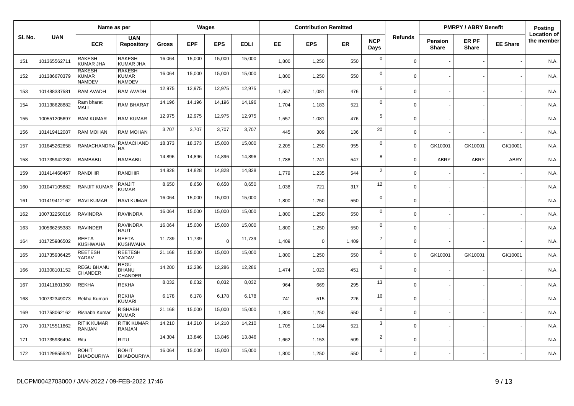|         |              | Name as per                                    |                                   |        |            | Wages      |             |       | <b>Contribution Remitted</b> |       |                    |                |                                | <b>PMRPY / ABRY Benefit</b> |                 | <b>Posting</b>                   |
|---------|--------------|------------------------------------------------|-----------------------------------|--------|------------|------------|-------------|-------|------------------------------|-------|--------------------|----------------|--------------------------------|-----------------------------|-----------------|----------------------------------|
| SI. No. | <b>UAN</b>   | <b>ECR</b>                                     | <b>UAN</b><br><b>Repository</b>   | Gross  | <b>EPF</b> | <b>EPS</b> | <b>EDLI</b> | EE.   | <b>EPS</b>                   | ER    | <b>NCP</b><br>Days | <b>Refunds</b> | <b>Pension</b><br><b>Share</b> | ER PF<br><b>Share</b>       | <b>EE Share</b> | <b>Location of</b><br>the member |
| 151     | 101365562711 | <b>RAKESH</b><br>KUMAR JHA                     | RAKESH<br><b>KUMAR JHA</b>        | 16,064 | 15,000     | 15,000     | 15,000      | 1,800 | 1,250                        | 550   | $\mathbf 0$        | $\Omega$       |                                |                             |                 | N.A.                             |
| 152     | 101386670379 | <b>RAKESH</b><br><b>KUMAR</b><br><b>NAMDEV</b> | RAKESH<br>KUMAR<br><b>NAMDEV</b>  | 16,064 | 15,000     | 15,000     | 15,000      | 1,800 | 1,250                        | 550   | $\overline{0}$     | $\Omega$       |                                |                             |                 | N.A.                             |
| 153     | 101488337581 | <b>RAM AVADH</b>                               | <b>RAM AVADH</b>                  | 12,975 | 12,975     | 12,975     | 12,975      | 1,557 | 1,081                        | 476   | $\sqrt{5}$         | $\Omega$       |                                |                             |                 | N.A.                             |
| 154     | 101138628882 | Ram bharat<br>MALI                             | RAM BHARAT                        | 14,196 | 14,196     | 14,196     | 14,196      | 1,704 | 1,183                        | 521   | $\mathbf 0$        | $\Omega$       |                                |                             |                 | N.A.                             |
| 155     | 100551205697 | <b>RAM KUMAR</b>                               | <b>RAM KUMAR</b>                  | 12,975 | 12,975     | 12,975     | 12,975      | 1,557 | 1,081                        | 476   | 5                  | $\Omega$       |                                |                             |                 | N.A.                             |
| 156     | 101419412087 | <b>RAM MOHAN</b>                               | <b>RAM MOHAN</b>                  | 3,707  | 3,707      | 3,707      | 3,707       | 445   | 309                          | 136   | 20                 | $\Omega$       |                                |                             |                 | N.A.                             |
| 157     | 101645262658 | RAMACHANDRA                                    | RAMACHAND<br><b>RA</b>            | 18,373 | 18,373     | 15,000     | 15,000      | 2,205 | 1,250                        | 955   | $\mathbf 0$        | $\Omega$       | GK10001                        | GK10001                     | GK10001         | N.A.                             |
| 158     | 101735942230 | RAMBABU                                        | RAMBABU                           | 14,896 | 14,896     | 14,896     | 14,896      | 1,788 | 1,241                        | 547   | 8                  | $\Omega$       | ABRY                           | ABRY                        | ABRY            | N.A.                             |
| 159     | 101414468467 | RANDHIR                                        | RANDHIR                           | 14,828 | 14,828     | 14,828     | 14,828      | 1,779 | 1,235                        | 544   | $\overline{2}$     | $\Omega$       |                                |                             |                 | N.A.                             |
| 160     | 101047105882 | <b>RANJIT KUMAR</b>                            | RANJIT<br>KUMAR                   | 8,650  | 8,650      | 8,650      | 8,650       | 1,038 | 721                          | 317   | 12                 | $\Omega$       |                                |                             |                 | N.A.                             |
| 161     | 101419412162 | <b>RAVI KUMAR</b>                              | RAVI KUMAR                        | 16,064 | 15,000     | 15,000     | 15,000      | 1.800 | 1,250                        | 550   | $\mathbf 0$        | $\Omega$       |                                |                             |                 | N.A.                             |
| 162     | 100732250016 | <b>RAVINDRA</b>                                | RAVINDRA                          | 16,064 | 15,000     | 15,000     | 15,000      | 1,800 | 1,250                        | 550   | $\mathbf 0$        | $\Omega$       |                                |                             |                 | N.A.                             |
| 163     | 100566255383 | <b>RAVINDER</b>                                | <b>RAVINDRA</b><br><b>RAUT</b>    | 16,064 | 15,000     | 15,000     | 15,000      | 1.800 | 1,250                        | 550   | $\mathbf 0$        | $\Omega$       |                                |                             |                 | N.A.                             |
| 164     | 101725986502 | REETA<br><b>KUSHWAHA</b>                       | <b>REETA</b><br><b>KUSHWAHA</b>   | 11,739 | 11,739     | $\Omega$   | 11,739      | 1,409 | $\mathbf 0$                  | 1,409 | $\overline{7}$     | $\Omega$       |                                |                             |                 | N.A.                             |
| 165     | 101735936425 | REETESH<br>YADAV                               | <b>REETESH</b><br>YADAV           | 21,168 | 15,000     | 15,000     | 15,000      | 1,800 | 1,250                        | 550   | $\mathbf 0$        | $\Omega$       | GK10001                        | GK10001                     | GK10001         | N.A.                             |
| 166     | 101308101152 | <b>REGU BHANU</b><br><b>CHANDER</b>            | REGU<br>BHANU<br><b>CHANDER</b>   | 14,200 | 12,286     | 12,286     | 12,286      | 1,474 | 1,023                        | 451   | $\mathbf 0$        | $\Omega$       |                                |                             |                 | N.A.                             |
| 167     | 101411801360 | <b>REKHA</b>                                   | <b>REKHA</b>                      | 8,032  | 8,032      | 8,032      | 8,032       | 964   | 669                          | 295   | 13                 | $\Omega$       |                                |                             |                 | N.A.                             |
| 168     | 100732349073 | Rekha Kumari                                   | <b>REKHA</b><br><b>KUMARI</b>     | 6,178  | 6,178      | 6,178      | 6,178       | 741   | 515                          | 226   | 16                 | $\Omega$       |                                |                             |                 | N.A.                             |
| 169     | 101758062162 | Rishabh Kumar                                  | <b>RISHABH</b><br><b>KUMAR</b>    | 21,168 | 15,000     | 15,000     | 15,000      | 1,800 | 1,250                        | 550   | $\mathbf 0$        | $\Omega$       |                                |                             |                 | N.A.                             |
| 170     | 101715511862 | RITIK KUMAR<br>RANJAN                          | <b>RITIK KUMAR</b><br>RANJAN      | 14,210 | 14,210     | 14,210     | 14,210      | 1,705 | 1,184                        | 521   | 3                  | $\Omega$       |                                |                             |                 | N.A.                             |
| 171     | 101735936494 | Ritu                                           | <b>RITU</b>                       | 14,304 | 13,846     | 13,846     | 13,846      | 1,662 | 1,153                        | 509   | $\overline{2}$     | $\Omega$       |                                |                             |                 | N.A.                             |
| 172     | 101129855520 | <b>ROHIT</b><br><b>BHADOURIYA</b>              | <b>ROHIT</b><br><b>BHADOURIYA</b> | 16,064 | 15,000     | 15,000     | 15,000      | 1,800 | 1,250                        | 550   | $\Omega$           | $\Omega$       |                                |                             |                 | N.A.                             |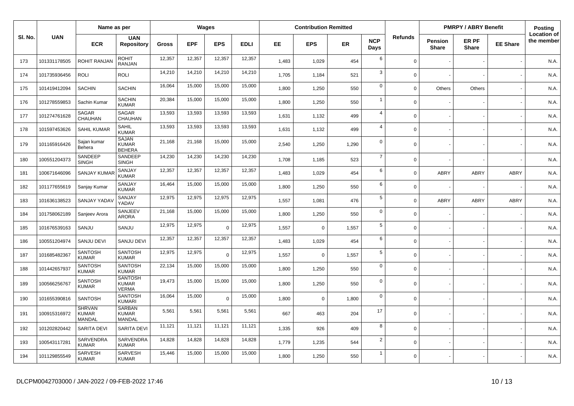|         |              | Name as per                             |                                                |              |            | <b>Wages</b> |             |       | <b>Contribution Remitted</b> |           |                    |                |                                | <b>PMRPY / ABRY Benefit</b> |                 | <b>Posting</b>                   |
|---------|--------------|-----------------------------------------|------------------------------------------------|--------------|------------|--------------|-------------|-------|------------------------------|-----------|--------------------|----------------|--------------------------------|-----------------------------|-----------------|----------------------------------|
| SI. No. | <b>UAN</b>   | <b>ECR</b>                              | <b>UAN</b><br><b>Repository</b>                | <b>Gross</b> | <b>EPF</b> | <b>EPS</b>   | <b>EDLI</b> | EE.   | <b>EPS</b>                   | <b>ER</b> | <b>NCP</b><br>Days | <b>Refunds</b> | <b>Pension</b><br><b>Share</b> | ER PF<br><b>Share</b>       | <b>EE Share</b> | <b>Location of</b><br>the member |
| 173     | 101331178505 | ROHIT RANJAN                            | <b>ROHIT</b><br>RANJAN                         | 12,357       | 12,357     | 12,357       | 12,357      | 1,483 | 1,029                        | 454       | 6                  | $\Omega$       |                                |                             |                 | N.A.                             |
| 174     | 101735936456 | <b>ROLI</b>                             | <b>ROLI</b>                                    | 14,210       | 14,210     | 14,210       | 14,210      | 1,705 | 1,184                        | 521       | $\mathbf{3}$       | $\Omega$       |                                |                             |                 | N.A.                             |
| 175     | 101419412094 | <b>SACHIN</b>                           | <b>SACHIN</b>                                  | 16,064       | 15,000     | 15,000       | 15,000      | 1,800 | 1,250                        | 550       | $\mathbf 0$        | $\Omega$       | Others                         | Others                      |                 | N.A.                             |
| 176     | 101278559853 | Sachin Kumar                            | <b>SACHIN</b><br><b>KUMAR</b>                  | 20,384       | 15,000     | 15,000       | 15,000      | 1,800 | 1,250                        | 550       | $\overline{1}$     | $\Omega$       |                                |                             |                 | N.A.                             |
| 177     | 101274761628 | SAGAR<br>CHAUHAN                        | SAGAR<br>CHAUHAN                               | 13,593       | 13,593     | 13,593       | 13,593      | 1,631 | 1,132                        | 499       | $\overline{4}$     | $\Omega$       |                                |                             |                 | N.A.                             |
| 178     | 101597453626 | <b>SAHIL KUMAR</b>                      | SAHIL<br><b>KUMAR</b>                          | 13,593       | 13,593     | 13,593       | 13,593      | 1,631 | 1,132                        | 499       | $\overline{4}$     | $\mathbf 0$    |                                |                             |                 | N.A.                             |
| 179     | 101165916426 | Sajan kumar<br>Behera                   | <b>SAJAN</b><br><b>KUMAR</b><br><b>BEHERA</b>  | 21,168       | 21,168     | 15,000       | 15,000      | 2,540 | 1,250                        | 1,290     | $\mathbf 0$        | $\Omega$       |                                |                             |                 | N.A.                             |
| 180     | 100551204373 | SANDEEP<br><b>SINGH</b>                 | SANDEEP<br><b>SINGH</b>                        | 14,230       | 14,230     | 14,230       | 14,230      | 1,708 | 1,185                        | 523       | $\overline{7}$     | $\Omega$       |                                |                             |                 | N.A.                             |
| 181     | 100671646096 | <b>SANJAY KUMA</b>                      | SANJAY<br><b>KUMAR</b>                         | 12,357       | 12,357     | 12,357       | 12,357      | 1,483 | 1,029                        | 454       | 6                  | $\Omega$       | ABRY                           | <b>ABRY</b>                 | <b>ABRY</b>     | N.A.                             |
| 182     | 101177655619 | Sanjay Kumar                            | SANJAY<br><b>KUMAR</b>                         | 16,464       | 15,000     | 15,000       | 15,000      | 1,800 | 1,250                        | 550       | 6                  | $\Omega$       |                                |                             |                 | N.A.                             |
| 183     | 101636138523 | <b>SANJAY YADA</b>                      | SANJAY<br>YADAV                                | 12,975       | 12,975     | 12,975       | 12,975      | 1,557 | 1,081                        | 476       | $\sqrt{5}$         | $\Omega$       | ABRY                           | <b>ABRY</b>                 | <b>ABRY</b>     | N.A.                             |
| 184     | 101758062189 | Sanjeev Arora                           | SANJEEV<br><b>ARORA</b>                        | 21,168       | 15,000     | 15,000       | 15,000      | 1,800 | 1,250                        | 550       | $\mathbf 0$        | $\Omega$       |                                |                             |                 | N.A.                             |
| 185     | 101676539163 | SANJU                                   | SANJU                                          | 12,975       | 12,975     | $\Omega$     | 12,975      | 1,557 | $\mathbf 0$                  | 1,557     | 5                  | $\Omega$       |                                |                             |                 | N.A.                             |
| 186     | 100551204974 | SANJU DEVI                              | SANJU DEVI                                     | 12,357       | 12,357     | 12,357       | 12,357      | 1,483 | 1,029                        | 454       | 6                  | $\Omega$       |                                |                             |                 | N.A.                             |
| 187     | 101685482367 | <b>SANTOSH</b><br><b>KUMAR</b>          | <b>SANTOSH</b><br><b>KUMAR</b>                 | 12,975       | 12,975     | $\Omega$     | 12,975      | 1,557 | $\mathbf 0$                  | 1,557     | $5\phantom{.0}$    | $\Omega$       |                                |                             |                 | N.A.                             |
| 188     | 101442657937 | <b>SANTOSH</b><br><b>KUMAR</b>          | <b>SANTOSH</b><br><b>KUMAR</b>                 | 22,134       | 15,000     | 15,000       | 15,000      | 1.800 | 1,250                        | 550       | $\mathbf 0$        | $\Omega$       |                                |                             |                 | N.A.                             |
| 189     | 100566256767 | <b>SANTOSH</b><br><b>KUMAR</b>          | <b>SANTOSH</b><br><b>KUMAR</b><br><b>VERMA</b> | 19,473       | 15,000     | 15,000       | 15,000      | 1,800 | 1,250                        | 550       | $\mathbf 0$        | $\Omega$       |                                |                             |                 | N.A.                             |
| 190     | 101655390816 | <b>SANTOSH</b>                          | <b>SANTOSH</b><br><b>KUMARI</b>                | 16,064       | 15,000     | $\Omega$     | 15,000      | 1,800 | 0                            | 1,800     | $\mathbf 0$        | $\Omega$       |                                |                             |                 | N.A.                             |
| 191     | 100915316972 | <b>SHRVAN</b><br><b>KUMAR</b><br>MANDAL | <b>SARBAN</b><br><b>KUMAR</b><br>MANDAL        | 5,561        | 5,561      | 5,561        | 5,561       | 667   | 463                          | 204       | 17                 | $\Omega$       |                                |                             |                 | N.A.                             |
| 192     | 101202820442 | SARITA DEVI                             | SARITA DEVI                                    | 11,121       | 11,121     | 11,121       | 11,121      | 1,335 | 926                          | 409       | 8                  | $\Omega$       |                                |                             |                 | N.A.                             |
| 193     | 100543117281 | SARVENDRA<br><b>KUMAR</b>               | SARVENDRA<br><b>KUMAR</b>                      | 14,828       | 14,828     | 14,828       | 14,828      | 1,779 | 1,235                        | 544       | $\overline{2}$     | $\Omega$       |                                |                             |                 | N.A.                             |
| 194     | 101129855549 | SARVESH<br><b>KUMAR</b>                 | SARVESH<br><b>KUMAR</b>                        | 15,446       | 15,000     | 15,000       | 15,000      | 1,800 | 1,250                        | 550       | $\overline{1}$     | $\Omega$       |                                |                             |                 | N.A.                             |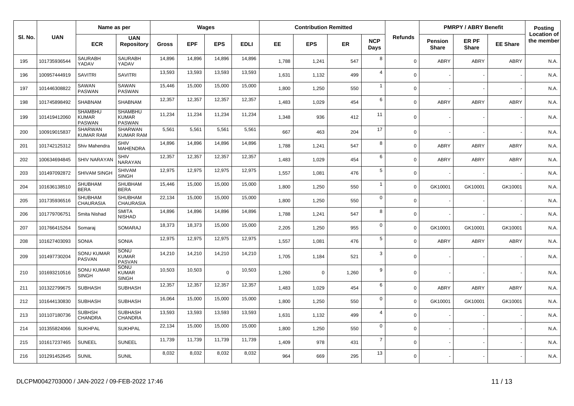|         | Name as per  |                                                 |                                                 |              | Wages      |            |             | <b>Contribution Remitted</b> |            |           |                    |             | <b>PMRPY / ABRY Benefit</b>    |                       | Posting         |                                  |
|---------|--------------|-------------------------------------------------|-------------------------------------------------|--------------|------------|------------|-------------|------------------------------|------------|-----------|--------------------|-------------|--------------------------------|-----------------------|-----------------|----------------------------------|
| SI. No. | <b>UAN</b>   | <b>ECR</b>                                      | <b>UAN</b><br><b>Repository</b>                 | <b>Gross</b> | <b>EPF</b> | <b>EPS</b> | <b>EDLI</b> | EE.                          | <b>EPS</b> | <b>ER</b> | <b>NCP</b><br>Days | Refunds     | <b>Pension</b><br><b>Share</b> | ER PF<br><b>Share</b> | <b>EE Share</b> | <b>Location of</b><br>the member |
| 195     | 101735936544 | SAURABH<br>YADAV                                | <b>SAURABH</b><br>YADAV                         | 14,896       | 14,896     | 14,896     | 14,896      | 1,788                        | 1,241      | 547       | 8                  | $\Omega$    | <b>ABRY</b>                    | ABRY                  | <b>ABRY</b>     | N.A.                             |
| 196     | 100957444919 | <b>SAVITRI</b>                                  | <b>SAVITRI</b>                                  | 13,593       | 13,593     | 13,593     | 13,593      | 1,631                        | 1,132      | 499       | $\overline{4}$     | $\mathbf 0$ |                                |                       |                 | N.A.                             |
| 197     | 101446308822 | SAWAN<br><b>PASWAN</b>                          | SAWAN<br><b>PASWAN</b>                          | 15,446       | 15,000     | 15,000     | 15,000      | 1,800                        | 1,250      | 550       | $\mathbf{1}$       | $\mathbf 0$ |                                |                       |                 | N.A.                             |
| 198     | 101745898492 | <b>SHABNAM</b>                                  | <b>SHABNAM</b>                                  | 12,357       | 12,357     | 12,357     | 12,357      | 1,483                        | 1,029      | 454       | 6                  | $\mathbf 0$ | <b>ABRY</b>                    | ABRY                  | <b>ABRY</b>     | N.A.                             |
| 199     | 101419412060 | <b>SHAMBHU</b><br><b>KUMAR</b><br><b>PASWAN</b> | <b>SHAMBHU</b><br><b>KUMAR</b><br><b>PASWAN</b> | 11,234       | 11,234     | 11,234     | 11,234      | 1,348                        | 936        | 412       | 11                 | $\mathbf 0$ |                                |                       |                 | N.A.                             |
| 200     | 100919015837 | SHARWAN<br>KUMAR RAM                            | <b>SHARWAN</b><br><b>KUMAR RAM</b>              | 5,561        | 5,561      | 5,561      | 5,561       | 667                          | 463        | 204       | 17                 | $\mathbf 0$ |                                |                       |                 | N.A.                             |
| 201     | 101742125312 | Shiv Mahendra                                   | SHIV<br><b>MAHENDRA</b>                         | 14,896       | 14,896     | 14,896     | 14,896      | 1,788                        | 1,241      | 547       | 8                  | $\mathbf 0$ | <b>ABRY</b>                    | <b>ABRY</b>           | <b>ABRY</b>     | N.A.                             |
| 202     | 100634694845 | <b>SHIV NARAYAN</b>                             | SHIV<br>NARAYAN                                 | 12,357       | 12,357     | 12,357     | 12,357      | 1,483                        | 1,029      | 454       | 6                  | $\mathbf 0$ | <b>ABRY</b>                    | <b>ABRY</b>           | <b>ABRY</b>     | N.A.                             |
| 203     | 101497092872 | SHIVAM SINGH                                    | <b>SHIVAM</b><br><b>SINGH</b>                   | 12,975       | 12,975     | 12,975     | 12,975      | 1,557                        | 1,081      | 476       | 5                  | $\mathbf 0$ |                                |                       |                 | N.A.                             |
| 204     | 101636138510 | <b>SHUBHAM</b><br><b>BERA</b>                   | <b>SHUBHAM</b><br><b>BERA</b>                   | 15,446       | 15,000     | 15,000     | 15,000      | 1,800                        | 1,250      | 550       | $\mathbf{1}$       | $\Omega$    | GK10001                        | GK10001               | GK10001         | N.A.                             |
| 205     | 101735936516 | SHUBHAM<br><b>CHAURASIA</b>                     | <b>SHUBHAM</b><br><b>CHAURASIA</b>              | 22,134       | 15,000     | 15,000     | 15,000      | 1,800                        | 1,250      | 550       | $\mathbf 0$        | $\mathbf 0$ |                                |                       |                 | N.A.                             |
| 206     | 101779706751 | Smita Nishad                                    | <b>SMITA</b><br><b>NISHAD</b>                   | 14,896       | 14,896     | 14,896     | 14,896      | 1,788                        | 1,241      | 547       | 8                  | $\mathbf 0$ |                                |                       |                 | N.A.                             |
| 207     | 101766415264 | Somarai                                         | SOMARAJ                                         | 18,373       | 18,373     | 15,000     | 15,000      | 2,205                        | 1,250      | 955       | $\mathbf 0$        | $\mathbf 0$ | GK10001                        | GK10001               | GK10001         | N.A.                             |
| 208     | 101627403093 | SONIA                                           | <b>SONIA</b>                                    | 12,975       | 12,975     | 12,975     | 12,975      | 1,557                        | 1,081      | 476       | 5                  | $\mathbf 0$ | <b>ABRY</b>                    | ABRY                  | <b>ABRY</b>     | N.A.                             |
| 209     | 101497730204 | <b>SONU KUMAR</b><br>PASVAN                     | <b>SONU</b><br><b>KUMAR</b><br><b>PASVAN</b>    | 14,210       | 14,210     | 14,210     | 14,210      | 1,705                        | 1,184      | 521       | 3                  | $\mathbf 0$ |                                |                       |                 | N.A.                             |
| 210     | 101693210516 | <b>SONU KUMAR</b><br><b>SINGH</b>               | SONU<br><b>KUMAR</b><br><b>SINGH</b>            | 10,503       | 10,503     | $\Omega$   | 10,503      | 1,260                        | $\Omega$   | 1,260     | 9                  | $\mathbf 0$ |                                |                       |                 | N.A.                             |
| 211     | 101322799675 | <b>SUBHASH</b>                                  | <b>SUBHASH</b>                                  | 12,357       | 12,357     | 12,357     | 12,357      | 1,483                        | 1,029      | 454       | 6                  | $\mathbf 0$ | <b>ABRY</b>                    | ABRY                  | <b>ABRY</b>     | N.A.                             |
| 212     | 101644130830 | <b>SUBHASH</b>                                  | <b>SUBHASH</b>                                  | 16,064       | 15,000     | 15,000     | 15,000      | 1,800                        | 1,250      | 550       | $\mathbf 0$        | $\mathbf 0$ | GK10001                        | GK10001               | GK10001         | N.A.                             |
| 213     | 101107180736 | SUBHSH<br>CHANDRA                               | <b>SUBHASH</b><br>CHANDRA                       | 13,593       | 13,593     | 13,593     | 13,593      | 1,631                        | 1,132      | 499       | $\overline{4}$     | $\mathbf 0$ |                                |                       |                 | N.A.                             |
| 214     | 101355824066 | <b>SUKHPAL</b>                                  | <b>SUKHPAL</b>                                  | 22,134       | 15,000     | 15,000     | 15,000      | 1,800                        | 1,250      | 550       | $\mathbf 0$        | $\mathbf 0$ |                                |                       |                 | N.A.                             |
| 215     | 101617237465 | <b>SUNEEL</b>                                   | <b>SUNEEL</b>                                   | 11,739       | 11,739     | 11,739     | 11,739      | 1,409                        | 978        | 431       | $\overline{7}$     | $\mathbf 0$ |                                |                       |                 | N.A.                             |
| 216     | 101291452645 | <b>SUNIL</b>                                    | <b>SUNIL</b>                                    | 8,032        | 8,032      | 8,032      | 8,032       | 964                          | 669        | 295       | 13                 | $\mathbf 0$ |                                |                       |                 | N.A.                             |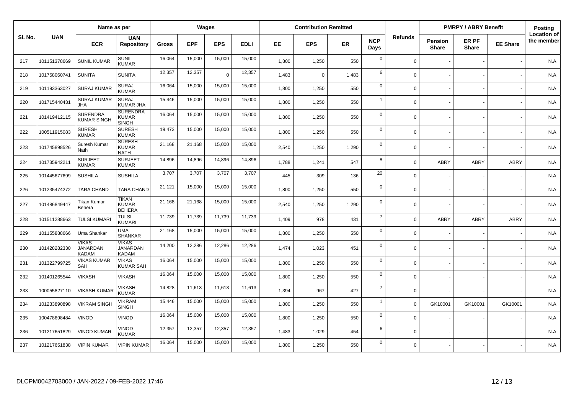|         | Name as per  |                                                 |                                                 |        | <b>Wages</b> |             |             | <b>Contribution Remitted</b> |             |           |                    |                | <b>PMRPY / ABRY Benefit</b> |                       | Posting         |                                  |
|---------|--------------|-------------------------------------------------|-------------------------------------------------|--------|--------------|-------------|-------------|------------------------------|-------------|-----------|--------------------|----------------|-----------------------------|-----------------------|-----------------|----------------------------------|
| SI. No. | <b>UAN</b>   | <b>ECR</b>                                      | <b>UAN</b><br><b>Repository</b>                 | Gross  | <b>EPF</b>   | <b>EPS</b>  | <b>EDLI</b> | EE                           | <b>EPS</b>  | <b>ER</b> | <b>NCP</b><br>Days | <b>Refunds</b> | Pension<br><b>Share</b>     | ER PF<br><b>Share</b> | <b>EE Share</b> | <b>Location of</b><br>the member |
| 217     | 101151378669 | <b>SUNIL KUMAR</b>                              | <b>SUNIL</b><br><b>KUMAR</b>                    | 16,064 | 15,000       | 15,000      | 15,000      | 1,800                        | 1,250       | 550       | $\mathbf 0$        | $\Omega$       |                             |                       |                 | N.A.                             |
| 218     | 101758060741 | <b>SUNITA</b>                                   | <b>SUNITA</b>                                   | 12,357 | 12,357       | $\mathbf 0$ | 12,357      | 1,483                        | $\mathbf 0$ | 1,483     | 6                  | $\Omega$       |                             |                       |                 | N.A.                             |
| 219     | 101193363027 | <b>SURAJ KUMAR</b>                              | <b>SURAJ</b><br><b>KUMAR</b>                    | 16,064 | 15,000       | 15,000      | 15,000      | 1,800                        | 1,250       | 550       | $\mathbf 0$        | $\mathbf 0$    |                             |                       |                 | N.A.                             |
| 220     | 101715440431 | <b>SURAJ KUMAR</b><br><b>JHA</b>                | <b>SURAJ</b><br><b>KUMAR JHA</b>                | 15,446 | 15,000       | 15,000      | 15,000      | 1,800                        | 1,250       | 550       | $\overline{1}$     | $\Omega$       |                             |                       |                 | N.A.                             |
| 221     | 101419412115 | <b>SURENDRA</b><br><b>KUMAR SINGH</b>           | <b>SURENDRA</b><br><b>KUMAR</b><br><b>SINGH</b> | 16,064 | 15,000       | 15,000      | 15,000      | 1,800                        | 1,250       | 550       | $\mathbf 0$        | $\mathbf 0$    |                             |                       |                 | N.A.                             |
| 222     | 100511915083 | <b>SURESH</b><br><b>KUMAR</b>                   | <b>SURESH</b><br><b>KUMAR</b>                   | 19,473 | 15,000       | 15,000      | 15,000      | 1.800                        | 1,250       | 550       | $\mathbf 0$        | $\Omega$       |                             |                       |                 | N.A.                             |
| 223     | 101745898526 | Suresh Kumar<br>Nath                            | <b>SURESH</b><br><b>KUMAR</b><br><b>NATH</b>    | 21,168 | 21,168       | 15,000      | 15,000      | 2,540                        | 1,250       | 1,290     | $\mathbf 0$        | $\Omega$       |                             |                       |                 | N.A.                             |
| 224     | 101735942211 | <b>SURJEET</b><br><b>KUMAR</b>                  | <b>SURJEET</b><br><b>KUMAR</b>                  | 14,896 | 14,896       | 14,896      | 14,896      | 1,788                        | 1,241       | 547       | 8                  | $\mathbf 0$    | <b>ABRY</b>                 | <b>ABRY</b>           | <b>ABRY</b>     | N.A.                             |
| 225     | 101445677699 | <b>SUSHILA</b>                                  | <b>SUSHILA</b>                                  | 3,707  | 3,707        | 3,707       | 3,707       | 445                          | 309         | 136       | 20                 | $\Omega$       |                             |                       |                 | N.A.                             |
| 226     | 101235474272 | <b>TARA CHAND</b>                               | <b>TARA CHAND</b>                               | 21,121 | 15,000       | 15,000      | 15,000      | 1,800                        | 1,250       | 550       | $\mathbf 0$        | $\Omega$       |                             |                       |                 | N.A.                             |
| 227     | 101486849447 | Tikan Kumar<br>Behera                           | <b>TIKAN</b><br><b>KUMAR</b><br><b>BEHERA</b>   | 21,168 | 21,168       | 15,000      | 15,000      | 2,540                        | 1,250       | 1,290     | $\mathbf 0$        | $\Omega$       |                             |                       |                 | N.A.                             |
| 228     | 101511288663 | <b>TULSI KUMAR</b>                              | <b>TULSI</b><br><b>KUMARI</b>                   | 11,739 | 11,739       | 11,739      | 11,739      | 1,409                        | 978         | 431       | $\overline{7}$     | $\mathbf 0$    | <b>ABRY</b>                 | <b>ABRY</b>           | <b>ABRY</b>     | N.A.                             |
| 229     | 101155888666 | Uma Shankar                                     | <b>UMA</b><br><b>SHANKAR</b>                    | 21,168 | 15,000       | 15,000      | 15,000      | 1,800                        | 1,250       | 550       | $\mathbf 0$        | $\mathbf 0$    |                             |                       |                 | N.A.                             |
| 230     | 101428282330 | <b>VIKAS</b><br><b>JANARDAN</b><br><b>KADAM</b> | <b>VIKAS</b><br><b>JANARDAN</b><br><b>KADAM</b> | 14,200 | 12,286       | 12,286      | 12,286      | 1,474                        | 1,023       | 451       | $\mathbf 0$        | $\Omega$       |                             |                       |                 | N.A.                             |
| 231     | 101322799725 | <b>VIKAS KUMAR</b><br>SAH                       | <b>VIKAS</b><br><b>KUMAR SAH</b>                | 16,064 | 15,000       | 15,000      | 15,000      | 1,800                        | 1,250       | 550       | $\mathbf 0$        | $\Omega$       |                             |                       |                 | N.A.                             |
| 232     | 101401265544 | <b>VIKASH</b>                                   | <b>VIKASH</b>                                   | 16,064 | 15,000       | 15,000      | 15,000      | 1,800                        | 1,250       | 550       | $\mathbf 0$        | $\Omega$       |                             |                       |                 | N.A.                             |
| 233     | 100055827110 | <b>VIKASH KUMAR</b>                             | <b>VIKASH</b><br><b>KUMAR</b>                   | 14,828 | 11,613       | 11,613      | 11,613      | 1,394                        | 967         | 427       | $\overline{7}$     | $\mathbf 0$    |                             |                       |                 | N.A.                             |
| 234     | 101233890898 | <b>VIKRAM SINGH</b>                             | <b>VIKRAM</b><br><b>SINGH</b>                   | 15,446 | 15,000       | 15,000      | 15,000      | 1,800                        | 1,250       | 550       | $\overline{1}$     | $\mathbf 0$    | GK10001                     | GK10001               | GK10001         | N.A.                             |
| 235     | 100478698484 | <b>VINOD</b>                                    | <b>VINOD</b>                                    | 16,064 | 15,000       | 15,000      | 15,000      | 1,800                        | 1,250       | 550       | $\mathbf 0$        | $\Omega$       |                             |                       |                 | N.A.                             |
| 236     | 101217651829 | <b>VINOD KUMAR</b>                              | VINOD<br><b>KUMAR</b>                           | 12,357 | 12,357       | 12,357      | 12,357      | 1,483                        | 1,029       | 454       | 6                  | $\mathbf 0$    |                             |                       |                 | N.A.                             |
| 237     | 101217651838 | <b>VIPIN KUMAR</b>                              | <b>VIPIN KUMAR</b>                              | 16,064 | 15,000       | 15,000      | 15,000      | 1,800                        | 1,250       | 550       | $\mathbf 0$        | $\Omega$       |                             |                       |                 | N.A.                             |